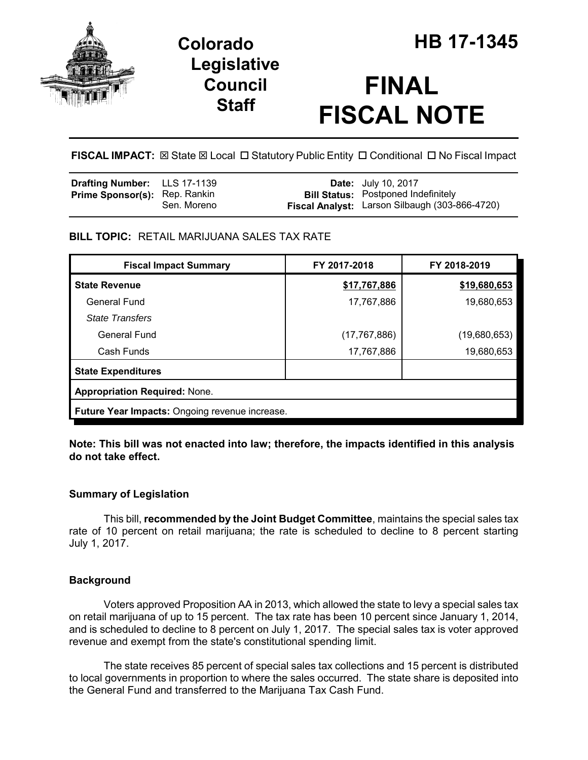

## **Legislative Council Staff**

# **FINAL FISCAL NOTE**

**FISCAL IMPACT:**  $\boxtimes$  **State**  $\boxtimes$  **Local □ Statutory Public Entity □ Conditional □ No Fiscal Impact** 

| <b>Drafting Number:</b> LLS 17-1139  |             | <b>Date:</b> July 10, 2017                                                                   |
|--------------------------------------|-------------|----------------------------------------------------------------------------------------------|
| <b>Prime Sponsor(s):</b> Rep. Rankin | Sen. Moreno | <b>Bill Status:</b> Postponed Indefinitely<br>Fiscal Analyst: Larson Silbaugh (303-866-4720) |
|                                      |             |                                                                                              |

## **BILL TOPIC:** RETAIL MARIJUANA SALES TAX RATE

| <b>Fiscal Impact Summary</b>                   | FY 2017-2018   | FY 2018-2019 |  |  |
|------------------------------------------------|----------------|--------------|--|--|
| <b>State Revenue</b>                           | \$17,767,886   | \$19,680,653 |  |  |
| General Fund                                   | 17,767,886     | 19,680,653   |  |  |
| <b>State Transfers</b>                         |                |              |  |  |
| <b>General Fund</b>                            | (17, 767, 886) | (19,680,653) |  |  |
| Cash Funds                                     | 17,767,886     | 19,680,653   |  |  |
| <b>State Expenditures</b>                      |                |              |  |  |
| <b>Appropriation Required: None.</b>           |                |              |  |  |
| Future Year Impacts: Ongoing revenue increase. |                |              |  |  |

**Note: This bill was not enacted into law; therefore, the impacts identified in this analysis do not take effect.** 

## **Summary of Legislation**

This bill, **recommended by the Joint Budget Committee**, maintains the special sales tax rate of 10 percent on retail marijuana; the rate is scheduled to decline to 8 percent starting July 1, 2017.

## **Background**

Voters approved Proposition AA in 2013, which allowed the state to levy a special sales tax on retail marijuana of up to 15 percent. The tax rate has been 10 percent since January 1, 2014, and is scheduled to decline to 8 percent on July 1, 2017. The special sales tax is voter approved revenue and exempt from the state's constitutional spending limit.

The state receives 85 percent of special sales tax collections and 15 percent is distributed to local governments in proportion to where the sales occurred. The state share is deposited into the General Fund and transferred to the Marijuana Tax Cash Fund.